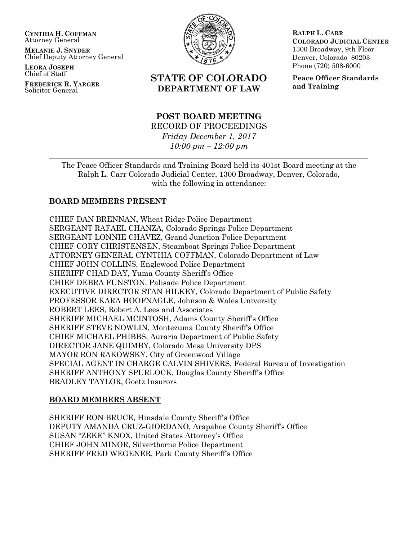**CYNTHIA H. COFFMAN** Attorney General

**MELANIE J. SNYDER** Chief Deputy Attorney General

**LEORA JOSEPH** Chief of Staff

**FREDERICK R. YARGER** Solicitor General



# **STATE OF COLORADO DEPARTMENT OF LAW**

# **POST BOARD MEETING** RECORD OF PROCEEDINGS *Friday December 1, 2017 10:00 pm – 12:00 pm*

**RALPH L. CARR COLORADO JUDICIAL CENTER** 1300 Broadway, 9th Floor Denver, Colorado 80203 Phone (720) 508-6000

**Peace Officer Standards and Training**

The Peace Officer Standards and Training Board held its 401st Board meeting at the Ralph L. Carr Colorado Judicial Center, 1300 Broadway, Denver, Colorado, with the following in attendance:

# **BOARD MEMBERS PRESENT**

CHIEF DAN BRENNAN**,** Wheat Ridge Police Department SERGEANT RAFAEL CHANZA, Colorado Springs Police Department SERGEANT LONNIE CHAVEZ, Grand Junction Police Department CHIEF CORY CHRISTENSEN, Steamboat Springs Police Department ATTORNEY GENERAL CYNTHIA COFFMAN, Colorado Department of Law CHIEF JOHN COLLINS, Englewood Police Department SHERIFF CHAD DAY, Yuma County Sheriff's Office CHIEF DEBRA FUNSTON, Palisade Police Department EXECUTIVE DIRECTOR STAN HILKEY, Colorado Department of Public Safety PROFESSOR KARA HOOFNAGLE, Johnson & Wales University ROBERT LEES, Robert A. Lees and Associates SHERIFF MICHAEL MCINTOSH, Adams County Sheriff's Office SHERIFF STEVE NOWLIN, Montezuma County Sheriff's Office CHIEF MICHAEL PHIBBS, Auraria Department of Public Safety DIRECTOR JANE QUIMBY, Colorado Mesa University DPS MAYOR RON RAKOWSKY, City of Greenwood Village SPECIAL AGENT IN CHARGE CALVIN SHIVERS, Federal Bureau of Investigation SHERIFF ANTHONY SPURLOCK, Douglas County Sheriff's Office BRADLEY TAYLOR, Goetz Insurors

## **BOARD MEMBERS ABSENT**

SHERIFF RON BRUCE, Hinsdale County Sheriff's Office DEPUTY AMANDA CRUZ-GIORDANO, Arapahoe County Sheriff's Office SUSAN "ZEKE" KNOX, United States Attorney's Office CHIEF JOHN MINOR, Silverthorne Police Department SHERIFF FRED WEGENER, Park County Sheriff's Office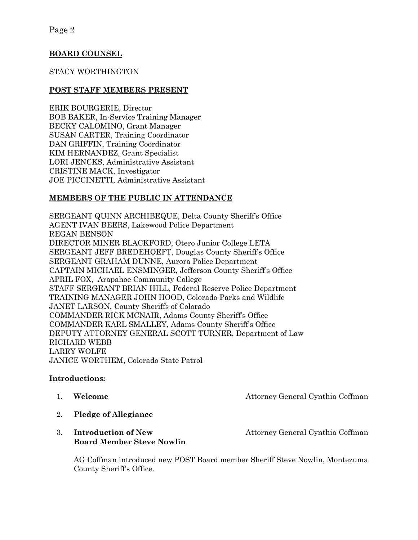# **BOARD COUNSEL**

# STACY WORTHINGTON

# **POST STAFF MEMBERS PRESENT**

ERIK BOURGERIE, Director BOB BAKER, In-Service Training Manager BECKY CALOMINO, Grant Manager SUSAN CARTER, Training Coordinator DAN GRIFFIN, Training Coordinator KIM HERNANDEZ, Grant Specialist LORI JENCKS, Administrative Assistant CRISTINE MACK, Investigator JOE PICCINETTI, Administrative Assistant

# **MEMBERS OF THE PUBLIC IN ATTENDANCE**

SERGEANT QUINN ARCHIBEQUE, Delta County Sheriff's Office AGENT IVAN BEERS, Lakewood Police Department REGAN BENSON DIRECTOR MINER BLACKFORD, Otero Junior College LETA SERGEANT JEFF BREDEHOEFT, Douglas County Sheriff's Office SERGEANT GRAHAM DUNNE, Aurora Police Department CAPTAIN MICHAEL ENSMINGER, Jefferson County Sheriff's Office APRIL FOX, Arapahoe Community College STAFF SERGEANT BRIAN HILL, Federal Reserve Police Department TRAINING MANAGER JOHN HOOD, Colorado Parks and Wildlife JANET LARSON, County Sheriffs of Colorado COMMANDER RICK MCNAIR, Adams County Sheriff's Office COMMANDER KARL SMALLEY, Adams County Sheriff's Office DEPUTY ATTORNEY GENERAL SCOTT TURNER, Department of Law RICHARD WEBB LARRY WOLFE JANICE WORTHEM, Colorado State Patrol

## **Introductions:**

1. **Welcome Attorney General Cynthia Coffman** 

- 2. **Pledge of Allegiance**
- 3. **Introduction of New Strategier 2.1 Attorney General Cynthia Coffman Board Member Steve Nowlin**

AG Coffman introduced new POST Board member Sheriff Steve Nowlin, Montezuma County Sheriff's Office.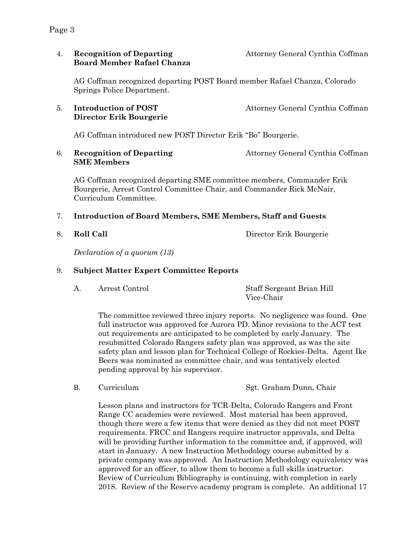# 4. **Recognition of Departing** Attorney General Cynthia Coffman **Board Member Rafael Chanza**

AG Coffman recognized departing POST Board member Rafael Chanza, Colorado Springs Police Department.

# 5. **Introduction of POST** Attorney General Cynthia Coffman **Director Erik Bourgerie**

AG Coffman introduced new POST Director Erik "Bo" Bourgerie.

6. **Recognition of Departing** Attorney General Cynthia Coffman **SME Members** 

AG Coffman recognized departing SME committee members, Commander Erik Bourgerie, Arrest Control Committee Chair, and Commander Rick McNair, Curriculum Committee.

# 7. **Introduction of Board Members, SME Members, Staff and Guests**

8. **Roll Call** Director Erik Bourgerie

*Declaration of a quorum (13)*

# 9. **Subject Matter Expert Committee Reports**

A. Arrest Control Staff Sergeant Brian Hill Vice-Chair

The committee reviewed three injury reports. No negligence was found. One full instructor was approved for Aurora PD. Minor revisions to the ACT test out requirements are anticipated to be completed by early January. The resubmitted Colorado Rangers safety plan was approved, as was the site safety plan and lesson plan for Technical College of Rockies-Delta. Agent Ike Beers was nominated as committee chair, and was tentatively elected pending approval by his supervisor.

B. Curriculum Sgt. Graham Dunn, Chair

Lesson plans and instructors for TCR-Delta, Colorado Rangers and Front Range CC academies were reviewed. Most material has been approved, though there were a few items that were denied as they did not meet POST requirements. FRCC and Rangers require instructor approvals, and Delta will be providing further information to the committee and, if approved, will start in January. A new Instruction Methodology course submitted by a private company was approved. An Instruction Methodology equivalency was approved for an officer, to allow them to become a full skills instructor. Review of Curriculum Bibliography is continuing, with completion in early 2018. Review of the Reserve academy program is complete. An additional 17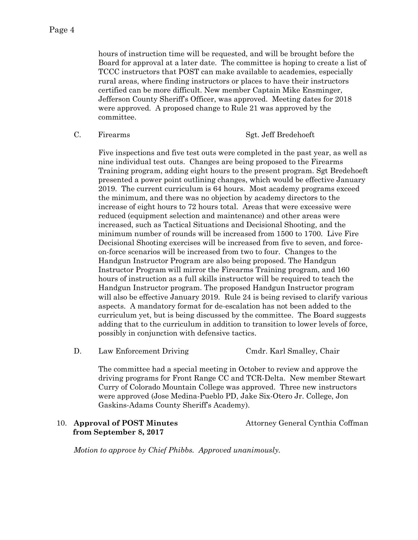hours of instruction time will be requested, and will be brought before the Board for approval at a later date. The committee is hoping to create a list of TCCC instructors that POST can make available to academies, especially rural areas, where finding instructors or places to have their instructors certified can be more difficult. New member Captain Mike Ensminger, Jefferson County Sheriff's Officer, was approved. Meeting dates for 2018 were approved. A proposed change to Rule 21 was approved by the committee.

### C. Firearms Sgt. Jeff Bredehoeft

Five inspections and five test outs were completed in the past year, as well as nine individual test outs. Changes are being proposed to the Firearms Training program, adding eight hours to the present program. Sgt Bredehoeft presented a power point outlining changes, which would be effective January 2019. The current curriculum is 64 hours. Most academy programs exceed the minimum, and there was no objection by academy directors to the increase of eight hours to 72 hours total. Areas that were excessive were reduced (equipment selection and maintenance) and other areas were increased, such as Tactical Situations and Decisional Shooting, and the minimum number of rounds will be increased from 1500 to 1700. Live Fire Decisional Shooting exercises will be increased from five to seven, and forceon-force scenarios will be increased from two to four. Changes to the Handgun Instructor Program are also being proposed. The Handgun Instructor Program will mirror the Firearms Training program, and 160 hours of instruction as a full skills instructor will be required to teach the Handgun Instructor program. The proposed Handgun Instructor program will also be effective January 2019. Rule 24 is being revised to clarify various aspects. A mandatory format for de-escalation has not been added to the curriculum yet, but is being discussed by the committee. The Board suggests adding that to the curriculum in addition to transition to lower levels of force, possibly in conjunction with defensive tactics.

D. Law Enforcement Driving Cmdr. Karl Smalley, Chair

The committee had a special meeting in October to review and approve the driving programs for Front Range CC and TCR-Delta. New member Stewart Curry of Colorado Mountain College was approved. Three new instructors were approved (Jose Medina-Pueblo PD, Jake Six-Otero Jr. College, Jon Gaskins-Adams County Sheriff's Academy).

## 10. **Approval of POST Minutes** Attorney General Cynthia Coffman  **from September 8, 2017**

*Motion to approve by Chief Phibbs. Approved unanimously.*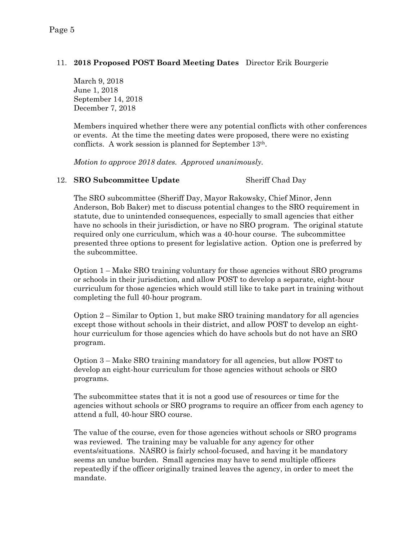# 11. **2018 Proposed POST Board Meeting Dates** Director Erik Bourgerie

March 9, 2018 June 1, 2018 September 14, 2018 December 7, 2018

Members inquired whether there were any potential conflicts with other conferences or events. At the time the meeting dates were proposed, there were no existing conflicts. A work session is planned for September 13th.

*Motion to approve 2018 dates. Approved unanimously.*

### 12. **SRO Subcommittee Update** Sheriff Chad Day

The SRO subcommittee (Sheriff Day, Mayor Rakowsky, Chief Minor, Jenn Anderson, Bob Baker) met to discuss potential changes to the SRO requirement in statute, due to unintended consequences, especially to small agencies that either have no schools in their jurisdiction, or have no SRO program. The original statute required only one curriculum, which was a 40-hour course. The subcommittee presented three options to present for legislative action. Option one is preferred by the subcommittee.

Option 1 – Make SRO training voluntary for those agencies without SRO programs or schools in their jurisdiction, and allow POST to develop a separate, eight-hour curriculum for those agencies which would still like to take part in training without completing the full 40-hour program.

Option  $2 -$  Similar to Option 1, but make SRO training mandatory for all agencies except those without schools in their district, and allow POST to develop an eighthour curriculum for those agencies which do have schools but do not have an SRO program.

Option 3 – Make SRO training mandatory for all agencies, but allow POST to develop an eight-hour curriculum for those agencies without schools or SRO programs.

The subcommittee states that it is not a good use of resources or time for the agencies without schools or SRO programs to require an officer from each agency to attend a full, 40-hour SRO course.

The value of the course, even for those agencies without schools or SRO programs was reviewed. The training may be valuable for any agency for other events/situations. NASRO is fairly school-focused, and having it be mandatory seems an undue burden. Small agencies may have to send multiple officers repeatedly if the officer originally trained leaves the agency, in order to meet the mandate.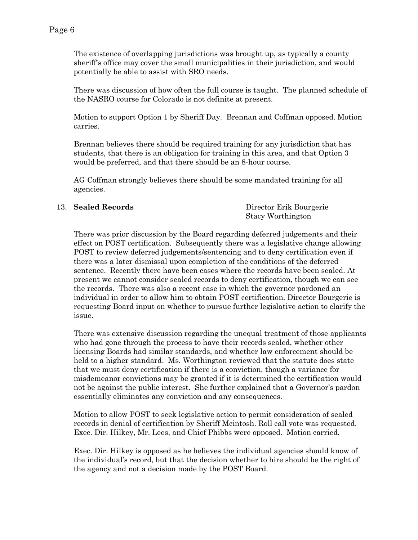The existence of overlapping jurisdictions was brought up, as typically a county sheriff's office may cover the small municipalities in their jurisdiction, and would potentially be able to assist with SRO needs.

There was discussion of how often the full course is taught. The planned schedule of the NASRO course for Colorado is not definite at present.

Motion to support Option 1 by Sheriff Day. Brennan and Coffman opposed. Motion carries.

Brennan believes there should be required training for any jurisdiction that has students, that there is an obligation for training in this area, and that Option 3 would be preferred, and that there should be an 8-hour course.

AG Coffman strongly believes there should be some mandated training for all agencies.

13. **Sealed Records** Director Erik Bourgerie Stacy Worthington

There was prior discussion by the Board regarding deferred judgements and their effect on POST certification. Subsequently there was a legislative change allowing POST to review deferred judgements/sentencing and to deny certification even if there was a later dismissal upon completion of the conditions of the deferred sentence. Recently there have been cases where the records have been sealed. At present we cannot consider sealed records to deny certification, though we can see the records. There was also a recent case in which the governor pardoned an individual in order to allow him to obtain POST certification. Director Bourgerie is requesting Board input on whether to pursue further legislative action to clarify the issue.

There was extensive discussion regarding the unequal treatment of those applicants who had gone through the process to have their records sealed, whether other licensing Boards had similar standards, and whether law enforcement should be held to a higher standard. Ms. Worthington reviewed that the statute does state that we must deny certification if there is a conviction, though a variance for misdemeanor convictions may be granted if it is determined the certification would not be against the public interest. She further explained that a Governor's pardon essentially eliminates any conviction and any consequences.

Motion to allow POST to seek legislative action to permit consideration of sealed records in denial of certification by Sheriff Mcintosh. Roll call vote was requested. Exec. Dir. Hilkey, Mr. Lees, and Chief Phibbs were opposed. Motion carried.

Exec. Dir. Hilkey is opposed as he believes the individual agencies should know of the individual's record, but that the decision whether to hire should be the right of the agency and not a decision made by the POST Board.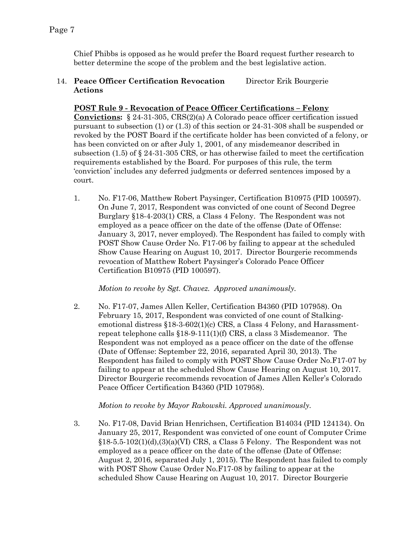Chief Phibbs is opposed as he would prefer the Board request further research to better determine the scope of the problem and the best legislative action.

# 14. **Peace Officer Certification Revocation** Director Erik Bourgerie **Actions**

# **POST Rule 9 - Revocation of Peace Officer Certifications – Felony**

**Convictions:** § 24-31-305, CRS(2)(a) A Colorado peace officer certification issued pursuant to subsection (1) or (1.3) of this section or 24-31-308 shall be suspended or revoked by the POST Board if the certificate holder has been convicted of a felony, or has been convicted on or after July 1, 2001, of any misdemeanor described in subsection (1.5) of  $\S 24-31-305$  CRS, or has otherwise failed to meet the certification requirements established by the Board. For purposes of this rule, the term 'conviction' includes any deferred judgments or deferred sentences imposed by a court.

1. No. F17-06, Matthew Robert Paysinger, Certification B10975 (PID 100597). On June 7, 2017, Respondent was convicted of one count of Second Degree Burglary §18-4-203(1) CRS, a Class 4 Felony. The Respondent was not employed as a peace officer on the date of the offense (Date of Offense: January 3, 2017, never employed). The Respondent has failed to comply with POST Show Cause Order No. F17-06 by failing to appear at the scheduled Show Cause Hearing on August 10, 2017. Director Bourgerie recommends revocation of Matthew Robert Paysinger's Colorado Peace Officer Certification B10975 (PID 100597).

*Motion to revoke by Sgt. Chavez. Approved unanimously.*

2. No. F17-07, James Allen Keller, Certification B4360 (PID 107958). On February 15, 2017, Respondent was convicted of one count of Stalkingemotional distress §18-3-602(1)(c) CRS, a Class 4 Felony, and Harassmentrepeat telephone calls §18-9-111(1)(f) CRS, a class 3 Misdemeanor. The Respondent was not employed as a peace officer on the date of the offense (Date of Offense: September 22, 2016, separated April 30, 2013). The Respondent has failed to comply with POST Show Cause Order No.F17-07 by failing to appear at the scheduled Show Cause Hearing on August 10, 2017. Director Bourgerie recommends revocation of James Allen Keller's Colorado Peace Officer Certification B4360 (PID 107958).

## *Motion to revoke by Mayor Rakowski. Approved unanimously.*

3. No. F17-08, David Brian Henrichsen, Certification B14034 (PID 124134). On January 25, 2017, Respondent was convicted of one count of Computer Crime  $$18-5.5-102(1)(d),(3)(a)(V)$  CRS, a Class 5 Felony. The Respondent was not employed as a peace officer on the date of the offense (Date of Offense: August 2, 2016, separated July 1, 2015). The Respondent has failed to comply with POST Show Cause Order No.F17-08 by failing to appear at the scheduled Show Cause Hearing on August 10, 2017. Director Bourgerie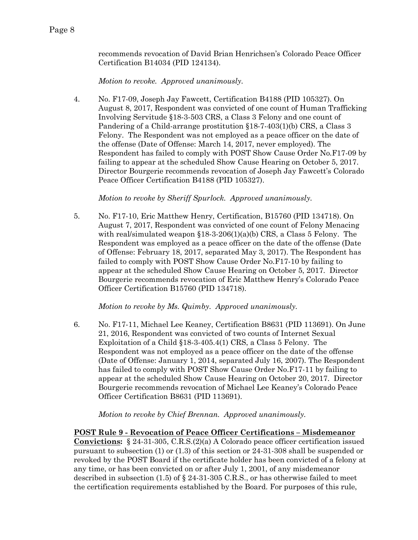recommends revocation of David Brian Henrichsen's Colorado Peace Officer Certification B14034 (PID 124134).

*Motion to revoke. Approved unanimously.* 

4. No. F17-09, Joseph Jay Fawcett, Certification B4188 (PID 105327). On August 8, 2017, Respondent was convicted of one count of Human Trafficking Involving Servitude §18-3-503 CRS, a Class 3 Felony and one count of Pandering of a Child-arrange prostitution §18-7-403(1)(b) CRS, a Class 3 Felony. The Respondent was not employed as a peace officer on the date of the offense (Date of Offense: March 14, 2017, never employed). The Respondent has failed to comply with POST Show Cause Order No.F17-09 by failing to appear at the scheduled Show Cause Hearing on October 5, 2017. Director Bourgerie recommends revocation of Joseph Jay Fawcett's Colorado Peace Officer Certification B4188 (PID 105327).

*Motion to revoke by Sheriff Spurlock. Approved unanimously.*

5. No. F17-10, Eric Matthew Henry, Certification, B15760 (PID 134718). On August 7, 2017, Respondent was convicted of one count of Felony Menacing with real/simulated weapon  $$18-3-206(1)(a)(b)$  CRS, a Class 5 Felony. The Respondent was employed as a peace officer on the date of the offense (Date of Offense: February 18, 2017, separated May 3, 2017). The Respondent has failed to comply with POST Show Cause Order No.F17-10 by failing to appear at the scheduled Show Cause Hearing on October 5, 2017. Director Bourgerie recommends revocation of Eric Matthew Henry's Colorado Peace Officer Certification B15760 (PID 134718).

*Motion to revoke by Ms. Quimby. Approved unanimously.*

6. No. F17-11, Michael Lee Keaney, Certification B8631 (PID 113691). On June 21, 2016, Respondent was convicted of two counts of Internet Sexual Exploitation of a Child §18-3-405.4(1) CRS, a Class 5 Felony. The Respondent was not employed as a peace officer on the date of the offense (Date of Offense: January 1, 2014, separated July 16, 2007). The Respondent has failed to comply with POST Show Cause Order No.F17-11 by failing to appear at the scheduled Show Cause Hearing on October 20, 2017. Director Bourgerie recommends revocation of Michael Lee Keaney's Colorado Peace Officer Certification B8631 (PID 113691).

*Motion to revoke by Chief Brennan. Approved unanimously.*

**POST Rule 9 - Revocation of Peace Officer Certifications – Misdemeanor Convictions:** § 24-31-305, C.R.S.(2)(a) A Colorado peace officer certification issued pursuant to subsection (1) or (1.3) of this section or 24-31-308 shall be suspended or revoked by the POST Board if the certificate holder has been convicted of a felony at any time, or has been convicted on or after July 1, 2001, of any misdemeanor described in subsection  $(1.5)$  of § 24-31-305 C.R.S., or has otherwise failed to meet the certification requirements established by the Board. For purposes of this rule,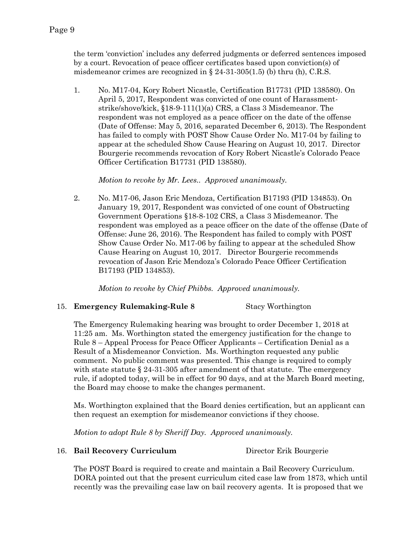the term 'conviction' includes any deferred judgments or deferred sentences imposed by a court. Revocation of peace officer certificates based upon conviction(s) of misdemeanor crimes are recognized in  $\S 24-31-305(1.5)$  (b) thru (h), C.R.S.

1. No. M17-04, Kory Robert Nicastle, Certification B17731 (PID 138580). On April 5, 2017, Respondent was convicted of one count of Harassmentstrike/shove/kick, §18-9-111(1)(a) CRS, a Class 3 Misdemeanor. The respondent was not employed as a peace officer on the date of the offense (Date of Offense: May 5, 2016, separated December 6, 2013). The Respondent has failed to comply with POST Show Cause Order No. M17-04 by failing to appear at the scheduled Show Cause Hearing on August 10, 2017. Director Bourgerie recommends revocation of Kory Robert Nicastle's Colorado Peace Officer Certification B17731 (PID 138580).

*Motion to revoke by Mr. Lees.. Approved unanimously.*

2. No. M17-06, Jason Eric Mendoza, Certification B17193 (PID 134853). On January 19, 2017, Respondent was convicted of one count of Obstructing Government Operations §18-8-102 CRS, a Class 3 Misdemeanor. The respondent was employed as a peace officer on the date of the offense (Date of Offense: June 26, 2016). The Respondent has failed to comply with POST Show Cause Order No. M17-06 by failing to appear at the scheduled Show Cause Hearing on August 10, 2017. Director Bourgerie recommends revocation of Jason Eric Mendoza's Colorado Peace Officer Certification B17193 (PID 134853).

*Motion to revoke by Chief Phibbs. Approved unanimously.*

# 15. **Emergency Rulemaking-Rule 8** Stacy Worthington

The Emergency Rulemaking hearing was brought to order December 1, 2018 at 11:25 am. Ms. Worthington stated the emergency justification for the change to Rule 8 – Appeal Process for Peace Officer Applicants – Certification Denial as a Result of a Misdemeanor Conviction. Ms. Worthington requested any public comment. No public comment was presented. This change is required to comply with state statute  $\S 24-31-305$  after amendment of that statute. The emergency rule, if adopted today, will be in effect for 90 days, and at the March Board meeting, the Board may choose to make the changes permanent.

Ms. Worthington explained that the Board denies certification, but an applicant can then request an exemption for misdemeanor convictions if they choose.

*Motion to adopt Rule 8 by Sheriff Day. Approved unanimously.*

16. **Bail Recovery Curriculum** Director Erik Bourgerie

The POST Board is required to create and maintain a Bail Recovery Curriculum. DORA pointed out that the present curriculum cited case law from 1873, which until recently was the prevailing case law on bail recovery agents. It is proposed that we